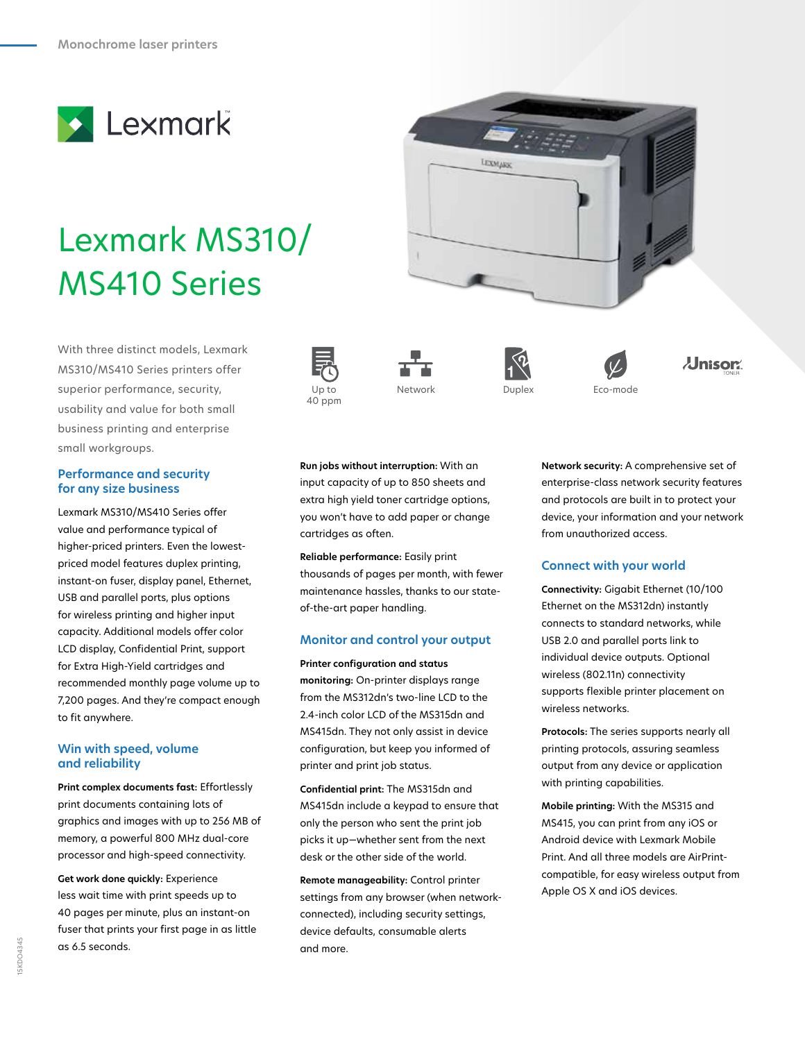

# Lexmark MS310/ MS410 Series

With three distinct models, Lexmark MS310/MS410 Series printers offer superior performance, security, usability and value for both small business printing and enterprise small workgroups. :ecurity, Up to Network Duplex Eco-mode

#### **Performance and security for any size business**

Lexmark MS310/MS410 Series offer value and performance typical of higher-priced printers. Even the lowestpriced model features duplex printing, instant-on fuser, display panel, Ethernet, USB and parallel ports, plus options for wireless printing and higher input capacity. Additional models offer color LCD display, Confidential Print, support for Extra High-Yield cartridges and recommended monthly page volume up to 7,200 pages. And they're compact enough to fit anywhere.

### **Win with speed, volume and reliability**

**Print complex documents fast:** Effortlessly print documents containing lots of graphics and images with up to 256 MB of memory, a powerful 800 MHz dual-core processor and high-speed connectivity.

**Get work done quickly:** Experience less wait time with print speeds up to 40 pages per minute, plus an instant-on fuser that prints your first page in as little as 6.5 seconds.











**Run jobs without interruption:** With an input capacity of up to 850 sheets and extra high yield toner cartridge options, you won't have to add paper or change cartridges as often.

**Reliable performance:** Easily print thousands of pages per month, with fewer maintenance hassles, thanks to our stateof-the-art paper handling.

# **Monitor and control your output**

**Printer configuration and status monitoring:** On-printer displays range from the MS312dn's two-line LCD to the 2.4-inch color LCD of the MS315dn and MS415dn. They not only assist in device configuration, but keep you informed of printer and print job status.

**Confidential print:** The MS315dn and MS415dn include a keypad to ensure that only the person who sent the print job picks it up—whether sent from the next desk or the other side of the world.

**Remote manageability:** Control printer settings from any browser (when networkconnected), including security settings, device defaults, consumable alerts and more.

**Network security:** A comprehensive set of enterprise-class network security features and protocols are built in to protect your device, your information and your network from unauthorized access.

**Jnisor.** 

# **Connect with your world**

**Connectivity:** Gigabit Ethernet (10/100 Ethernet on the MS312dn) instantly connects to standard networks, while USB 2.0 and parallel ports link to individual device outputs. Optional wireless (802.11n) connectivity supports flexible printer placement on wireless networks.

**Protocols:** The series supports nearly all printing protocols, assuring seamless output from any device or application with printing capabilities.

**Mobile printing:** With the MS315 and MS415, you can print from any iOS or Android device with Lexmark Mobile Print. And all three models are AirPrintcompatible, for easy wireless output from Apple OS X and iOS devices.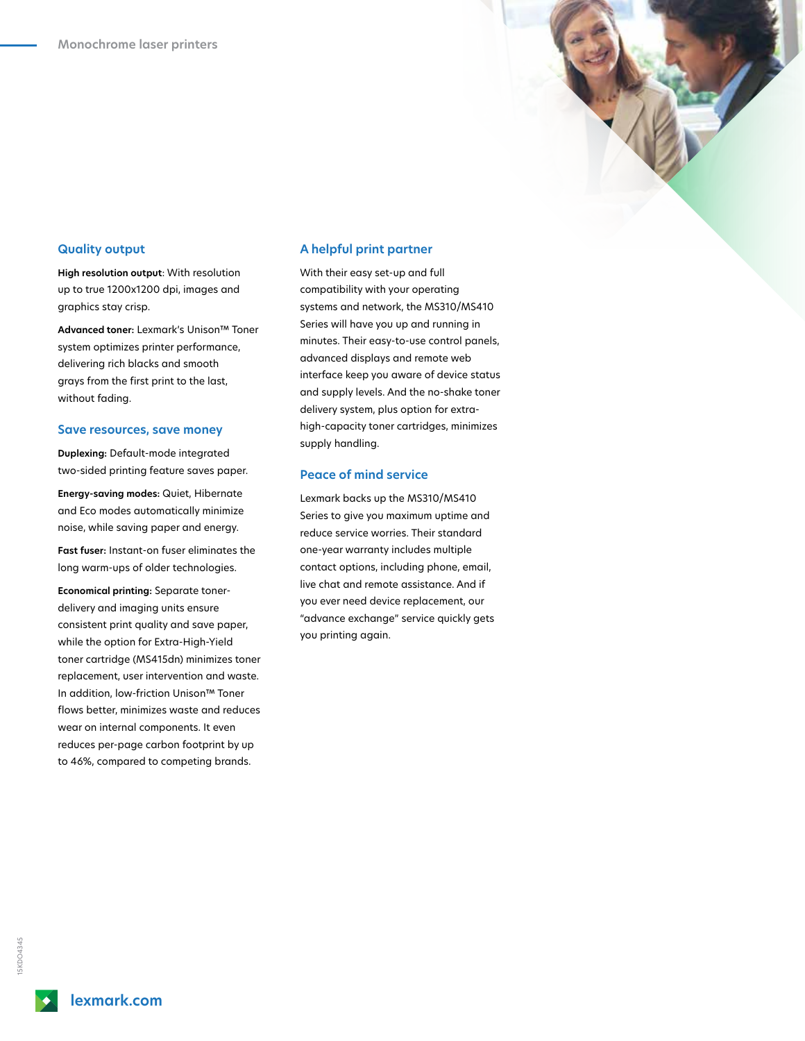## **Quality output**

**High resolution output**: With resolution up to true 1200x1200 dpi, images and graphics stay crisp.

**Advanced toner:** Lexmark's Unison™ Toner system optimizes printer performance, delivering rich blacks and smooth grays from the first print to the last, without fading.

#### **Save resources, save money**

**Duplexing:** Default-mode integrated two-sided printing feature saves paper.

**Energy-saving modes:** Quiet, Hibernate and Eco modes automatically minimize noise, while saving paper and energy.

**Fast fuser:** Instant-on fuser eliminates the long warm-ups of older technologies.

**Economical printing:** Separate tonerdelivery and imaging units ensure consistent print quality and save paper, while the option for Extra-High-Yield toner cartridge (MS415dn) minimizes toner replacement, user intervention and waste. In addition, low-friction Unison™ Toner flows better, minimizes waste and reduces wear on internal components. It even reduces per-page carbon footprint by up to 46%, compared to competing brands.

#### **A helpful print partner**

With their easy set-up and full compatibility with your operating systems and network, the MS310/MS410 Series will have you up and running in minutes. Their easy-to-use control panels, advanced displays and remote web interface keep you aware of device status and supply levels. And the no-shake toner delivery system, plus option for extrahigh-capacity toner cartridges, minimizes supply handling.

#### **Peace of mind service**

Lexmark backs up the MS310/MS410 Series to give you maximum uptime and reduce service worries. Their standard one-year warranty includes multiple contact options, including phone, email, live chat and remote assistance. And if you ever need device replacement, our "advance exchange" service quickly gets you printing again.